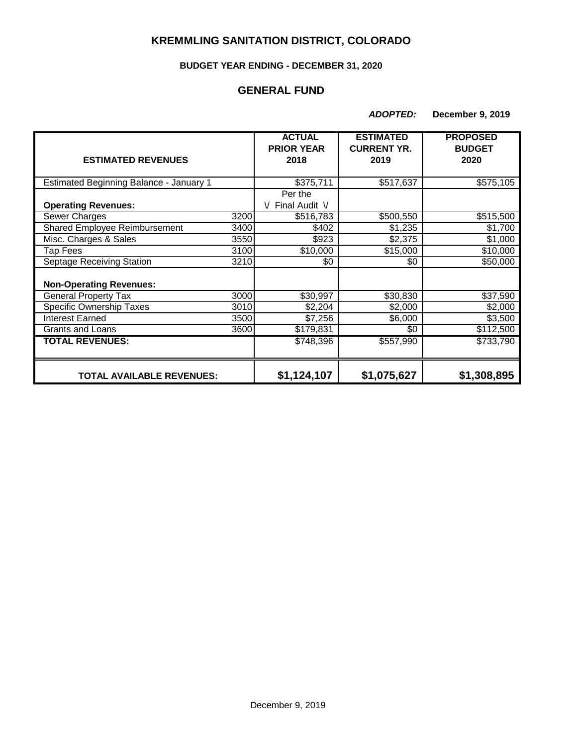# **KREMMLING SANITATION DISTRICT, COLORADO**

#### **BUDGET YEAR ENDING - DECEMBER 31, 2020**

### **GENERAL FUND**

*ADOPTED:* **December 9, 2019**

|                                         |      | <b>ACTUAL</b><br><b>PRIOR YEAR</b> | <b>ESTIMATED</b><br><b>CURRENT YR.</b> | <b>PROPOSED</b><br><b>BUDGET</b> |
|-----------------------------------------|------|------------------------------------|----------------------------------------|----------------------------------|
| <b>ESTIMATED REVENUES</b>               |      | 2018                               | 2019                                   | 2020                             |
| Estimated Beginning Balance - January 1 |      | \$375,711                          | \$517,637                              | \$575,105                        |
|                                         |      | Per the                            |                                        |                                  |
| <b>Operating Revenues:</b>              |      | Final Audit V                      |                                        |                                  |
| Sewer Charges                           | 3200 | \$516,783                          | \$500,550                              | \$515,500                        |
| Shared Employee Reimbursement           | 3400 | \$402                              | \$1,235                                | \$1,700                          |
| Misc. Charges & Sales                   | 3550 | \$923                              | \$2,375                                | \$1,000                          |
| Tap Fees                                | 3100 | \$10,000                           | \$15,000                               | \$10,000                         |
| Septage Receiving Station               | 3210 | \$0                                | \$0                                    | \$50,000                         |
|                                         |      |                                    |                                        |                                  |
| <b>Non-Operating Revenues:</b>          |      |                                    |                                        |                                  |
| <b>General Property Tax</b>             | 3000 | \$30,997                           | \$30,830                               | \$37,590                         |
| <b>Specific Ownership Taxes</b>         | 3010 | \$2,204                            | \$2,000                                | \$2,000                          |
| <b>Interest Earned</b>                  | 3500 | \$7,256                            | \$6,000                                | \$3,500                          |
| Grants and Loans                        | 3600 | \$179,831                          | \$0                                    | \$112,500                        |
| <b>TOTAL REVENUES:</b>                  |      | \$748,396                          | \$557,990                              | \$733,790                        |
|                                         |      |                                    |                                        |                                  |
| <b>TOTAL AVAILABLE REVENUES:</b>        |      | \$1,124,107                        | \$1,075,627                            | \$1,308,895                      |